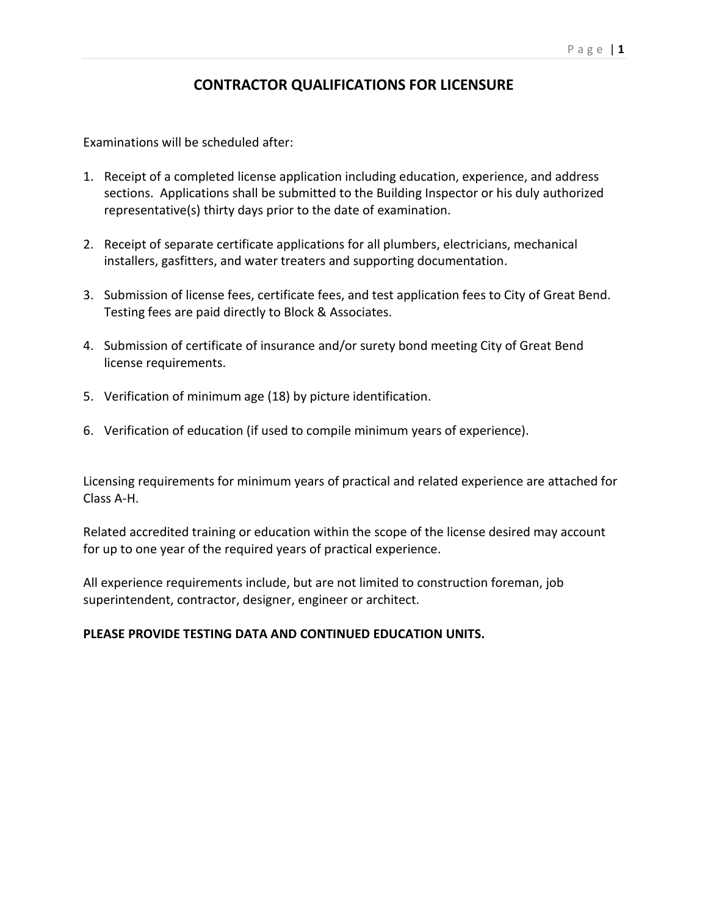## **CONTRACTOR QUALIFICATIONS FOR LICENSURE**

Examinations will be scheduled after:

- 1. Receipt of a completed license application including education, experience, and address sections. Applications shall be submitted to the Building Inspector or his duly authorized representative(s) thirty days prior to the date of examination.
- 2. Receipt of separate certificate applications for all plumbers, electricians, mechanical installers, gasfitters, and water treaters and supporting documentation.
- 3. Submission of license fees, certificate fees, and test application fees to City of Great Bend. Testing fees are paid directly to Block & Associates.
- 4. Submission of certificate of insurance and/or surety bond meeting City of Great Bend license requirements.
- 5. Verification of minimum age (18) by picture identification.
- 6. Verification of education (if used to compile minimum years of experience).

Licensing requirements for minimum years of practical and related experience are attached for Class A-H.

Related accredited training or education within the scope of the license desired may account for up to one year of the required years of practical experience.

All experience requirements include, but are not limited to construction foreman, job superintendent, contractor, designer, engineer or architect.

## **PLEASE PROVIDE TESTING DATA AND CONTINUED EDUCATION UNITS.**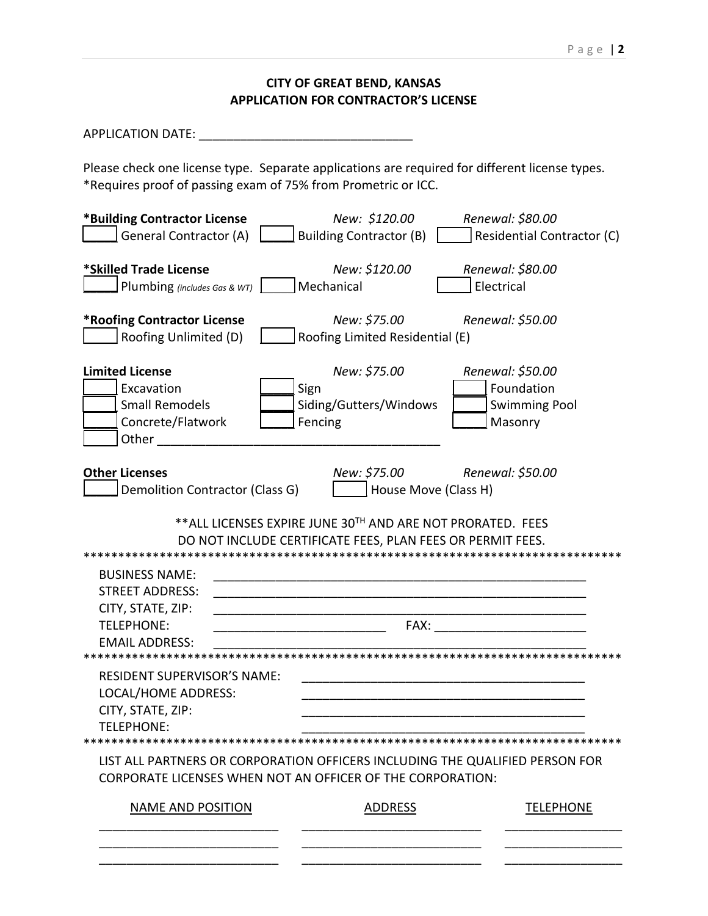## **CITY OF GREAT BEND, KANSAS APPLICATION FOR CONTRACTOR'S LICENSE**

APPLICATION DATE: \_\_\_\_\_\_\_\_\_\_\_\_\_\_\_\_\_\_\_\_\_\_\_\_\_\_\_\_\_\_\_

Please check one license type. Separate applications are required for different license types. \*Requires proof of passing exam of 75% from Prometric or ICC.

| <b>General Contractor (A)</b><br><b>Building Contractor (B)</b><br>Residential Contractor (C)<br>*Skilled Trade License<br>New: \$120.00<br>Renewal: \$80.00<br>Mechanical<br>Electrical<br>Plumbing (includes Gas & WT)<br>New: \$75.00<br><b>*Roofing Contractor License</b><br>Renewal: \$50.00<br>Roofing Unlimited (D)<br>Roofing Limited Residential (E)<br>New: \$75.00<br><b>Limited License</b><br>Renewal: \$50.00 |  |  |  |
|------------------------------------------------------------------------------------------------------------------------------------------------------------------------------------------------------------------------------------------------------------------------------------------------------------------------------------------------------------------------------------------------------------------------------|--|--|--|
|                                                                                                                                                                                                                                                                                                                                                                                                                              |  |  |  |
|                                                                                                                                                                                                                                                                                                                                                                                                                              |  |  |  |
|                                                                                                                                                                                                                                                                                                                                                                                                                              |  |  |  |
| Sign<br>Foundation<br>Excavation<br><b>Small Remodels</b><br><b>Swimming Pool</b><br>Siding/Gutters/Windows<br>Concrete/Flatwork<br>Fencing<br>Masonry<br>Other                                                                                                                                                                                                                                                              |  |  |  |
| New: \$75.00<br><b>Other Licenses</b><br>Renewal: \$50.00<br>House Move (Class H)<br>Demolition Contractor (Class G)                                                                                                                                                                                                                                                                                                         |  |  |  |
| ** ALL LICENSES EXPIRE JUNE 30TH AND ARE NOT PRORATED. FEES<br>DO NOT INCLUDE CERTIFICATE FEES, PLAN FEES OR PERMIT FEES.                                                                                                                                                                                                                                                                                                    |  |  |  |
|                                                                                                                                                                                                                                                                                                                                                                                                                              |  |  |  |
| <b>BUSINESS NAME:</b>                                                                                                                                                                                                                                                                                                                                                                                                        |  |  |  |
| <b>STREET ADDRESS:</b>                                                                                                                                                                                                                                                                                                                                                                                                       |  |  |  |
| CITY, STATE, ZIP:                                                                                                                                                                                                                                                                                                                                                                                                            |  |  |  |
| FAX:<br><b>TELEPHONE:</b>                                                                                                                                                                                                                                                                                                                                                                                                    |  |  |  |
| <b>EMAIL ADDRESS:</b>                                                                                                                                                                                                                                                                                                                                                                                                        |  |  |  |
|                                                                                                                                                                                                                                                                                                                                                                                                                              |  |  |  |
| <b>RESIDENT SUPERVISOR'S NAME:</b>                                                                                                                                                                                                                                                                                                                                                                                           |  |  |  |
| LOCAL/HOME ADDRESS:                                                                                                                                                                                                                                                                                                                                                                                                          |  |  |  |
| CITY, STATE, ZIP:                                                                                                                                                                                                                                                                                                                                                                                                            |  |  |  |
| TELEPHONE:                                                                                                                                                                                                                                                                                                                                                                                                                   |  |  |  |
| LIST ALL PARTNERS OR CORPORATION OFFICERS INCLUDING THE QUALIFIED PERSON FOR<br>CORPORATE LICENSES WHEN NOT AN OFFICER OF THE CORPORATION:                                                                                                                                                                                                                                                                                   |  |  |  |
| <b>NAME AND POSITION</b><br><b>ADDRESS</b><br><b>TELEPHONE</b>                                                                                                                                                                                                                                                                                                                                                               |  |  |  |
|                                                                                                                                                                                                                                                                                                                                                                                                                              |  |  |  |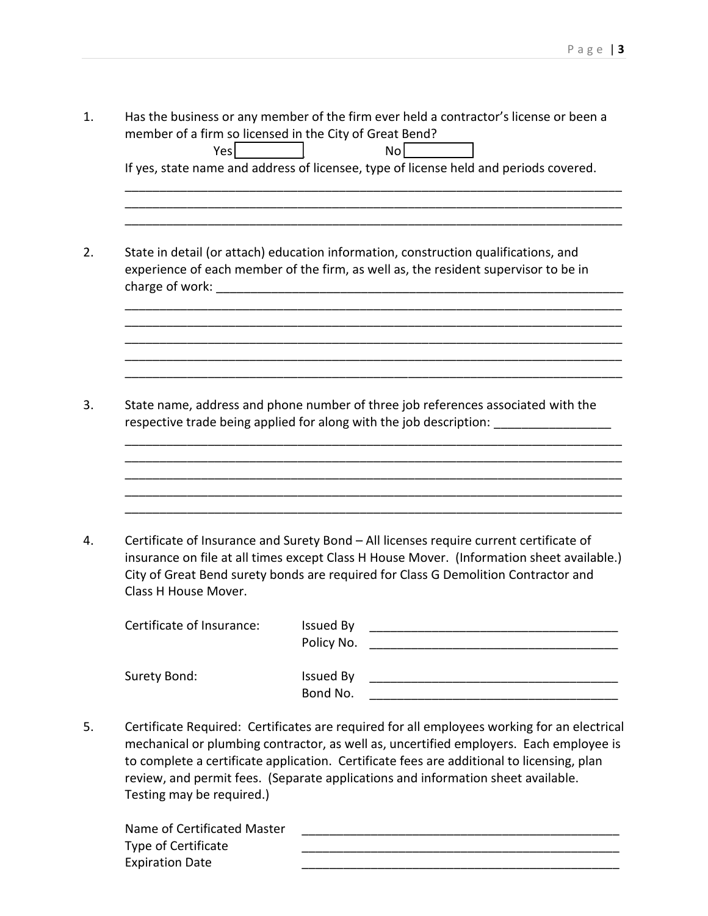1. Has the business or any member of the firm ever held a contractor's license or been a member of a firm so licensed in the City of Great Bend? Yes \_\_\_\_\_\_\_\_\_\_ No \_\_\_\_\_\_\_\_\_\_ If yes, state name and address of licensee, type of license held and periods covered. \_\_\_\_\_\_\_\_\_\_\_\_\_\_\_\_\_\_\_\_\_\_\_\_\_\_\_\_\_\_\_\_\_\_\_\_\_\_\_\_\_\_\_\_\_\_\_\_\_\_\_\_\_\_\_\_\_\_\_\_\_\_\_\_\_\_\_\_\_\_\_\_ \_\_\_\_\_\_\_\_\_\_\_\_\_\_\_\_\_\_\_\_\_\_\_\_\_\_\_\_\_\_\_\_\_\_\_\_\_\_\_\_\_\_\_\_\_\_\_\_\_\_\_\_\_\_\_\_\_\_\_\_\_\_\_\_\_\_\_\_\_\_\_\_ \_\_\_\_\_\_\_\_\_\_\_\_\_\_\_\_\_\_\_\_\_\_\_\_\_\_\_\_\_\_\_\_\_\_\_\_\_\_\_\_\_\_\_\_\_\_\_\_\_\_\_\_\_\_\_\_\_\_\_\_\_\_\_\_\_\_\_\_\_\_\_\_ 2. State in detail (or attach) education information, construction qualifications, and experience of each member of the firm, as well as, the resident supervisor to be in charge of work: \_\_\_\_\_\_\_\_\_\_\_\_\_\_\_\_\_\_\_\_\_\_\_\_\_\_\_\_\_\_\_\_\_\_\_\_\_\_\_\_\_\_\_\_\_\_\_\_\_\_\_\_\_\_\_\_\_\_\_\_\_\_\_\_\_\_\_\_\_\_\_\_ \_\_\_\_\_\_\_\_\_\_\_\_\_\_\_\_\_\_\_\_\_\_\_\_\_\_\_\_\_\_\_\_\_\_\_\_\_\_\_\_\_\_\_\_\_\_\_\_\_\_\_\_\_\_\_\_\_\_\_\_\_\_\_\_\_\_\_\_\_\_\_\_ \_\_\_\_\_\_\_\_\_\_\_\_\_\_\_\_\_\_\_\_\_\_\_\_\_\_\_\_\_\_\_\_\_\_\_\_\_\_\_\_\_\_\_\_\_\_\_\_\_\_\_\_\_\_\_\_\_\_\_\_\_\_\_\_\_\_\_\_\_\_\_\_ \_\_\_\_\_\_\_\_\_\_\_\_\_\_\_\_\_\_\_\_\_\_\_\_\_\_\_\_\_\_\_\_\_\_\_\_\_\_\_\_\_\_\_\_\_\_\_\_\_\_\_\_\_\_\_\_\_\_\_\_\_\_\_\_\_\_\_\_\_\_\_\_ \_\_\_\_\_\_\_\_\_\_\_\_\_\_\_\_\_\_\_\_\_\_\_\_\_\_\_\_\_\_\_\_\_\_\_\_\_\_\_\_\_\_\_\_\_\_\_\_\_\_\_\_\_\_\_\_\_\_\_\_\_\_\_\_\_\_\_\_\_\_\_\_ 3. State name, address and phone number of three job references associated with the respective trade being applied for along with the job description: \_\_\_\_\_\_\_\_\_\_\_\_\_ \_\_\_\_\_\_\_\_\_\_\_\_\_\_\_\_\_\_\_\_\_\_\_\_\_\_\_\_\_\_\_\_\_\_\_\_\_\_\_\_\_\_\_\_\_\_\_\_\_\_\_\_\_\_\_\_\_\_\_\_\_\_\_\_\_\_\_\_\_\_\_\_ \_\_\_\_\_\_\_\_\_\_\_\_\_\_\_\_\_\_\_\_\_\_\_\_\_\_\_\_\_\_\_\_\_\_\_\_\_\_\_\_\_\_\_\_\_\_\_\_\_\_\_\_\_\_\_\_\_\_\_\_\_\_\_\_\_\_\_\_\_\_\_\_ \_\_\_\_\_\_\_\_\_\_\_\_\_\_\_\_\_\_\_\_\_\_\_\_\_\_\_\_\_\_\_\_\_\_\_\_\_\_\_\_\_\_\_\_\_\_\_\_\_\_\_\_\_\_\_\_\_\_\_\_\_\_\_\_\_\_\_\_\_\_\_\_ \_\_\_\_\_\_\_\_\_\_\_\_\_\_\_\_\_\_\_\_\_\_\_\_\_\_\_\_\_\_\_\_\_\_\_\_\_\_\_\_\_\_\_\_\_\_\_\_\_\_\_\_\_\_\_\_\_\_\_\_\_\_\_\_\_\_\_\_\_\_\_\_ \_\_\_\_\_\_\_\_\_\_\_\_\_\_\_\_\_\_\_\_\_\_\_\_\_\_\_\_\_\_\_\_\_\_\_\_\_\_\_\_\_\_\_\_\_\_\_\_\_\_\_\_\_\_\_\_\_\_\_\_\_\_\_\_\_\_\_\_\_\_\_\_ 4. Certificate of Insurance and Surety Bond – All licenses require current certificate of insurance on file at all times except Class H House Mover. (Information sheet available.) City of Great Bend surety bonds are required for Class G Demolition Contractor and Class H House Mover. Certificate of Insurance: Issued By and Internal and Internal and Internal and Internal and Internal and Internal and Internal and Internal and Internal and Internal and Internal and Internal and Internal and Internal and Policy No. \_\_\_\_\_\_\_\_\_\_\_\_\_\_\_\_\_\_\_\_\_\_\_\_\_\_\_\_\_\_\_\_\_\_\_\_ Surety Bond: The Muslim Condensity Bond: Issued By The Muslim Condensity Bond: The Muslim Condensity Bondensin Bond No. 5. Certificate Required: Certificates are required for all employees working for an electrical mechanical or plumbing contractor, as well as, uncertified employers. Each employee is to complete a certificate application. Certificate fees are additional to licensing, plan review, and permit fees. (Separate applications and information sheet available.

Testing may be required.)

Name of Certificated Master Type of Certificate Expiration Date